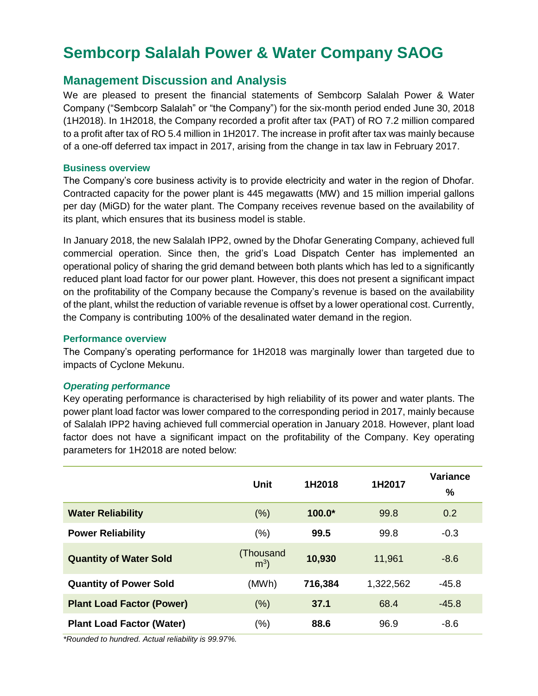# **Sembcorp Salalah Power & Water Company SAOG**

## **Management Discussion and Analysis**

We are pleased to present the financial statements of Sembcorp Salalah Power & Water Company ("Sembcorp Salalah" or "the Company") for the six-month period ended June 30, 2018 (1H2018). In 1H2018, the Company recorded a profit after tax (PAT) of RO 7.2 million compared to a profit after tax of RO 5.4 million in 1H2017. The increase in profit after tax was mainly because of a one-off deferred tax impact in 2017, arising from the change in tax law in February 2017.

## **Business overview**

The Company's core business activity is to provide electricity and water in the region of Dhofar. Contracted capacity for the power plant is 445 megawatts (MW) and 15 million imperial gallons per day (MiGD) for the water plant. The Company receives revenue based on the availability of its plant, which ensures that its business model is stable.

In January 2018, the new Salalah IPP2, owned by the Dhofar Generating Company, achieved full commercial operation. Since then, the grid's Load Dispatch Center has implemented an operational policy of sharing the grid demand between both plants which has led to a significantly reduced plant load factor for our power plant. However, this does not present a significant impact on the profitability of the Company because the Company's revenue is based on the availability of the plant, whilst the reduction of variable revenue is offset by a lower operational cost. Currently, the Company is contributing 100% of the desalinated water demand in the region.

## **Performance overview**

The Company's operating performance for 1H2018 was marginally lower than targeted due to impacts of Cyclone Mekunu.

## *Operating performance*

Key operating performance is characterised by high reliability of its power and water plants. The power plant load factor was lower compared to the corresponding period in 2017, mainly because of Salalah IPP2 having achieved full commercial operation in January 2018. However, plant load factor does not have a significant impact on the profitability of the Company. Key operating parameters for 1H2018 are noted below:

|                                  | Unit                        | 1H2018   | 1H2017    | <b>Variance</b><br>$\%$ |
|----------------------------------|-----------------------------|----------|-----------|-------------------------|
| <b>Water Reliability</b>         | (% )                        | $100.0*$ | 99.8      | 0.2                     |
| <b>Power Reliability</b>         | (%)                         | 99.5     | 99.8      | $-0.3$                  |
| <b>Quantity of Water Sold</b>    | (Thousand<br>m <sup>3</sup> | 10,930   | 11,961    | $-8.6$                  |
| <b>Quantity of Power Sold</b>    | (MWh)                       | 716,384  | 1,322,562 | $-45.8$                 |
| <b>Plant Load Factor (Power)</b> | (% )                        | 37.1     | 68.4      | $-45.8$                 |
| <b>Plant Load Factor (Water)</b> | (% )                        | 88.6     | 96.9      | $-8.6$                  |

*\*Rounded to hundred. Actual reliability is 99.97%.*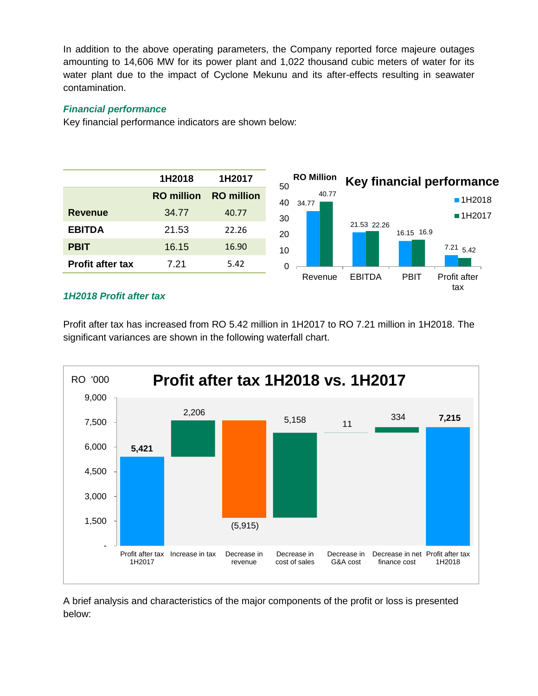In addition to the above operating parameters, the Company reported force majeure outages amounting to 14,606 MW for its power plant and 1,022 thousand cubic meters of water for its water plant due to the impact of Cyclone Mekunu and its after-effects resulting in seawater contamination.

## *Financial performance*

Key financial performance indicators are shown below:



## *1H2018 Profit after tax*

Profit after tax has increased from RO 5.42 million in 1H2017 to RO 7.21 million in 1H2018. The significant variances are shown in the following waterfall chart.



A brief analysis and characteristics of the major components of the profit or loss is presented below: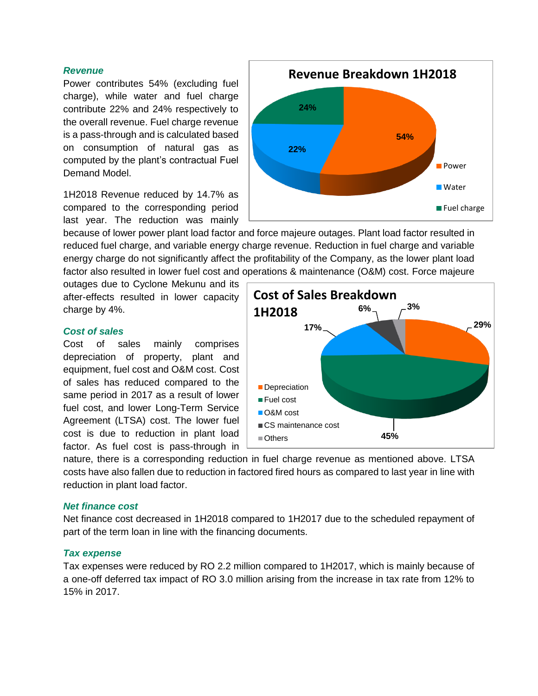#### *Revenue*

Power contributes 54% (excluding fuel charge), while water and fuel charge contribute 22% and 24% respectively to the overall revenue. Fuel charge revenue is a pass-through and is calculated based on consumption of natural gas as computed by the plant's contractual Fuel Demand Model.

1H2018 Revenue reduced by 14.7% as compared to the corresponding period last year. The reduction was mainly

because of lower power plant load factor and force majeure outages. Plant load factor resulted in reduced fuel charge, and variable energy charge revenue. Reduction in fuel charge and variable energy charge do not significantly affect the profitability of the Company, as the lower plant load factor also resulted in lower fuel cost and operations & maintenance (O&M) cost. Force majeure

outages due to Cyclone Mekunu and its after-effects resulted in lower capacity charge by 4%.

#### *Cost of sales*

Cost of sales mainly comprises depreciation of property, plant and equipment, fuel cost and O&M cost. Cost of sales has reduced compared to the same period in 2017 as a result of lower fuel cost, and lower Long-Term Service Agreement (LTSA) cost. The lower fuel cost is due to reduction in plant load factor. As fuel cost is pass-through in



nature, there is a corresponding reduction in fuel charge revenue as mentioned above. LTSA costs have also fallen due to reduction in factored fired hours as compared to last year in line with reduction in plant load factor.

#### *Net finance cost*

Net finance cost decreased in 1H2018 compared to 1H2017 due to the scheduled repayment of part of the term loan in line with the financing documents.

#### *Tax expense*

Tax expenses were reduced by RO 2.2 million compared to 1H2017, which is mainly because of a one-off deferred tax impact of RO 3.0 million arising from the increase in tax rate from 12% to 15% in 2017.